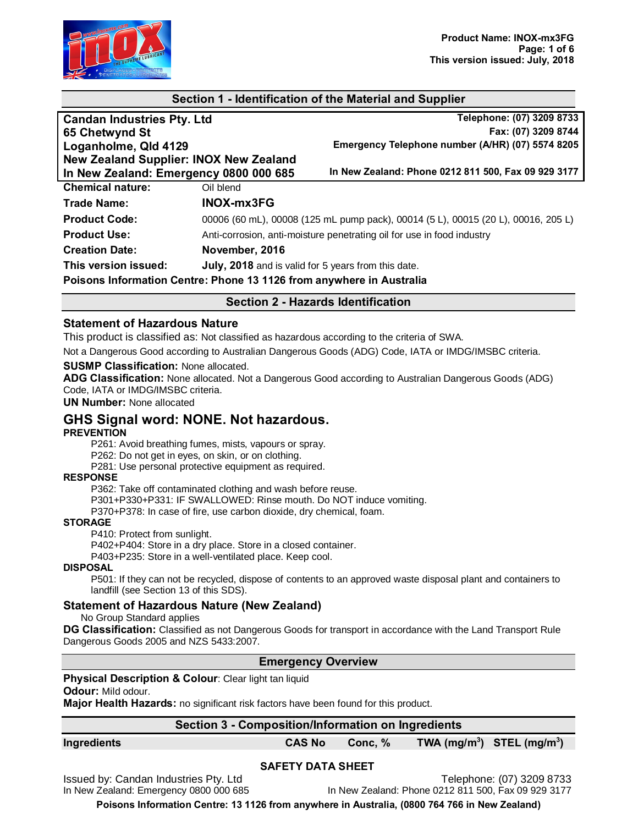

# **Section 1 - Identification of the Material and Supplier**

| <b>Candan Industries Pty. Ltd</b>             | Telephone: (07) 3209 8733                                                         |
|-----------------------------------------------|-----------------------------------------------------------------------------------|
| 65 Chetwynd St                                | Fax: (07) 3209 8744                                                               |
| Loganholme, Qld 4129                          | Emergency Telephone number (A/HR) (07) 5574 8205                                  |
| <b>New Zealand Supplier: INOX New Zealand</b> |                                                                                   |
| In New Zealand: Emergency 0800 000 685        | In New Zealand: Phone 0212 811 500, Fax 09 929 3177                               |
| <b>Chemical nature:</b>                       | Oil blend                                                                         |
| <b>Trade Name:</b>                            | <b>INOX-mx3FG</b>                                                                 |
| <b>Product Code:</b>                          | 00006 (60 mL), 00008 (125 mL pump pack), 00014 (5 L), 00015 (20 L), 00016, 205 L) |
| <b>Product Use:</b>                           | Anti-corrosion, anti-moisture penetrating oil for use in food industry            |
| <b>Creation Date:</b>                         | November, 2016                                                                    |
| This version issued:                          | July, 2018 and is valid for 5 years from this date.                               |
|                                               | Poisons Information Centre: Phone 13 1126 from anywhere in Australia              |

# **Section 2 - Hazards Identification**

#### **Statement of Hazardous Nature**

This product is classified as: Not classified as hazardous according to the criteria of SWA.

Not a Dangerous Good according to Australian Dangerous Goods (ADG) Code, IATA or IMDG/IMSBC criteria.

#### **SUSMP Classification:** None allocated.

**ADG Classification:** None allocated. Not a Dangerous Good according to Australian Dangerous Goods (ADG) Code, IATA or IMDG/IMSBC criteria.

**UN Number:** None allocated

# **GHS Signal word: NONE. Not hazardous.**

#### **PREVENTION**

P261: Avoid breathing fumes, mists, vapours or spray.

P262: Do not get in eyes, on skin, or on clothing.

P281: Use personal protective equipment as required.

#### **RESPONSE**

P362: Take off contaminated clothing and wash before reuse.

P301+P330+P331: IF SWALLOWED: Rinse mouth. Do NOT induce vomiting.

P370+P378: In case of fire, use carbon dioxide, dry chemical, foam.

#### **STORAGE**

P410: Protect from sunlight.

P402+P404: Store in a dry place. Store in a closed container.

P403+P235: Store in a well-ventilated place. Keep cool.

#### **DISPOSAL**

P501: If they can not be recycled, dispose of contents to an approved waste disposal plant and containers to landfill (see Section 13 of this SDS).

#### **Statement of Hazardous Nature (New Zealand)**

No Group Standard applies

**DG Classification:** Classified as not Dangerous Goods for transport in accordance with the Land Transport Rule Dangerous Goods 2005 and NZS 5433:2007.

#### **Emergency Overview**

#### **Physical Description & Colour: Clear light tan liquid**

**Odour:** Mild odour.

**Major Health Hazards:** no significant risk factors have been found for this product.

| Section 3 - Composition/Information on Ingredients |               |         |                                |
|----------------------------------------------------|---------------|---------|--------------------------------|
| Ingredients                                        | <b>CAS No</b> | Conc. % | TWA $(mg/m^3)$ STEL $(mg/m^3)$ |

#### **SAFETY DATA SHEET**

Issued by: Candan Industries Pty. Ltd<br>In New Zealand: Phone 0212 811 500, Fax 09 929 3177<br>In New Zealand: Phone 0212 811 500, Fax 09 929 3177

In New Zealand: Phone 0212 811 500, Fax 09 929 3177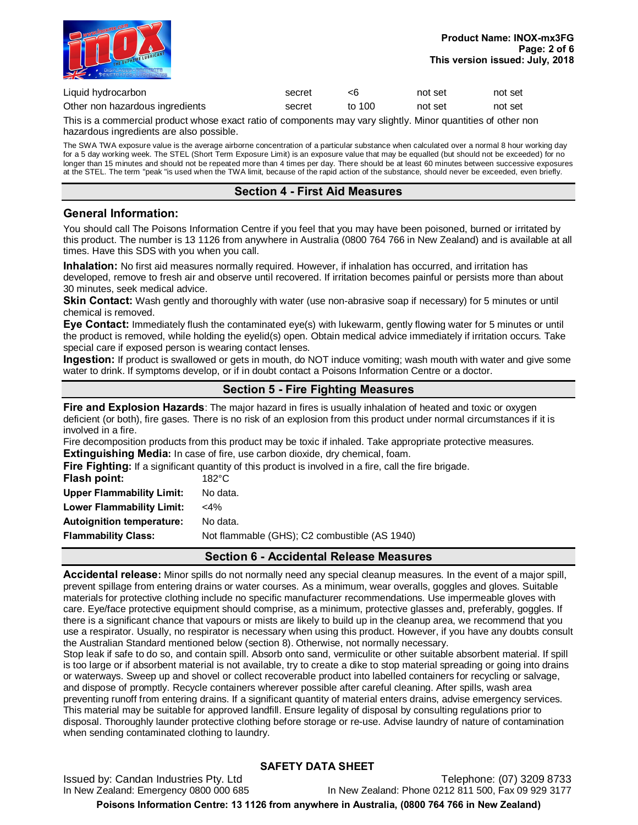

| Liquid hydrocarbon              | secret |        | not set | not set |
|---------------------------------|--------|--------|---------|---------|
| Other non hazardous ingredients | secret | to 100 | not set | not set |

This is a commercial product whose exact ratio of components may vary slightly. Minor quantities of other non hazardous ingredients are also possible.

The SWA TWA exposure value is the average airborne concentration of a particular substance when calculated over a normal 8 hour working day for a 5 day working week. The STEL (Short Term Exposure Limit) is an exposure value that may be equalled (but should not be exceeded) for no longer than 15 minutes and should not be repeated more than 4 times per day. There should be at least 60 minutes between successive exposures at the STEL. The term "peak "is used when the TWA limit, because of the rapid action of the substance, should never be exceeded, even briefly.

### **Section 4 - First Aid Measures**

# **General Information:**

You should call The Poisons Information Centre if you feel that you may have been poisoned, burned or irritated by this product. The number is 13 1126 from anywhere in Australia (0800 764 766 in New Zealand) and is available at all times. Have this SDS with you when you call.

**Inhalation:** No first aid measures normally required. However, if inhalation has occurred, and irritation has developed, remove to fresh air and observe until recovered. If irritation becomes painful or persists more than about 30 minutes, seek medical advice.

Skin Contact: Wash gently and thoroughly with water (use non-abrasive soap if necessary) for 5 minutes or until chemical is removed.

**Eye Contact:** Immediately flush the contaminated eye(s) with lukewarm, gently flowing water for 5 minutes or until the product is removed, while holding the eyelid(s) open. Obtain medical advice immediately if irritation occurs. Take special care if exposed person is wearing contact lenses.

**Ingestion:** If product is swallowed or gets in mouth, do NOT induce vomiting; wash mouth with water and give some water to drink. If symptoms develop, or if in doubt contact a Poisons Information Centre or a doctor.

# **Section 5 - Fire Fighting Measures**

**Fire and Explosion Hazards**: The major hazard in fires is usually inhalation of heated and toxic or oxygen deficient (or both), fire gases. There is no risk of an explosion from this product under normal circumstances if it is involved in a fire.

Fire decomposition products from this product may be toxic if inhaled. Take appropriate protective measures. **Extinguishing Media:** In case of fire, use carbon dioxide, dry chemical, foam.

**Fire Fighting:** If a significant quantity of this product is involved in a fire, call the fire brigade.

| Flash point:                     | $182^{\circ}$ C                               |
|----------------------------------|-----------------------------------------------|
| <b>Upper Flammability Limit:</b> | No data.                                      |
| Lower Flammability Limit:        | $<$ 4%                                        |
| <b>Autoignition temperature:</b> | No data.                                      |
| <b>Flammability Class:</b>       | Not flammable (GHS); C2 combustible (AS 1940) |
|                                  |                                               |

# **Section 6 - Accidental Release Measures**

**Accidental release:** Minor spills do not normally need any special cleanup measures. In the event of a major spill, prevent spillage from entering drains or water courses. As a minimum, wear overalls, goggles and gloves. Suitable materials for protective clothing include no specific manufacturer recommendations. Use impermeable gloves with care. Eye/face protective equipment should comprise, as a minimum, protective glasses and, preferably, goggles. If there is a significant chance that vapours or mists are likely to build up in the cleanup area, we recommend that you use a respirator. Usually, no respirator is necessary when using this product. However, if you have any doubts consult the Australian Standard mentioned below (section 8). Otherwise, not normally necessary.

Stop leak if safe to do so, and contain spill. Absorb onto sand, vermiculite or other suitable absorbent material. If spill is too large or if absorbent material is not available, try to create a dike to stop material spreading or going into drains or waterways. Sweep up and shovel or collect recoverable product into labelled containers for recycling or salvage, and dispose of promptly. Recycle containers wherever possible after careful cleaning. After spills, wash area preventing runoff from entering drains. If a significant quantity of material enters drains, advise emergency services. This material may be suitable for approved landfill. Ensure legality of disposal by consulting regulations prior to disposal. Thoroughly launder protective clothing before storage or re-use. Advise laundry of nature of contamination when sending contaminated clothing to laundry.

# **SAFETY DATA SHEET**

Issued by: Candan Industries Pty. Ltd<br>In New Zealand: Phone 0212 811 500, Fax 09 929 3177<br>In New Zealand: Phone 0212 811 500, Fax 09 929 3177 In New Zealand: Phone 0212 811 500, Fax 09 929 3177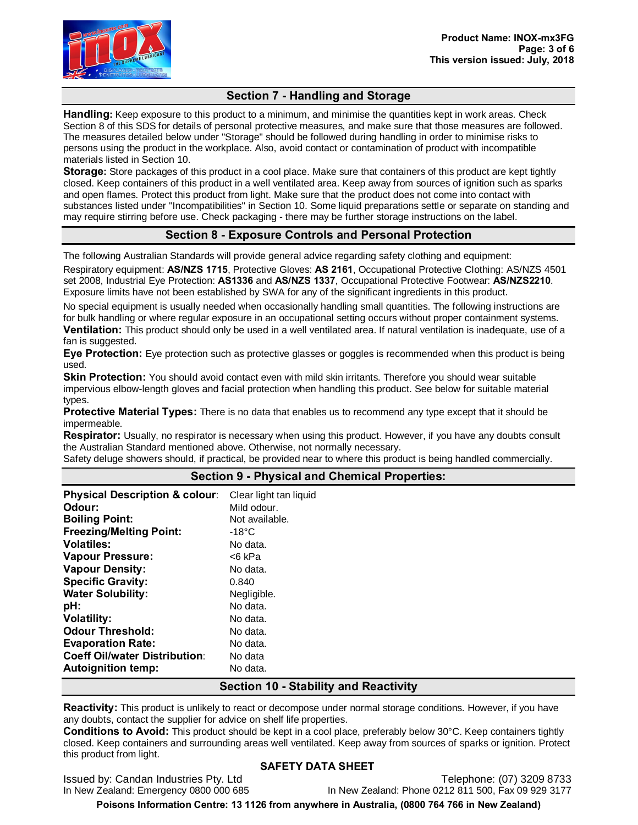

# **Section 7 - Handling and Storage**

**Handling:** Keep exposure to this product to a minimum, and minimise the quantities kept in work areas. Check Section 8 of this SDS for details of personal protective measures, and make sure that those measures are followed. The measures detailed below under "Storage" should be followed during handling in order to minimise risks to persons using the product in the workplace. Also, avoid contact or contamination of product with incompatible materials listed in Section 10.

**Storage:** Store packages of this product in a cool place. Make sure that containers of this product are kept tightly closed. Keep containers of this product in a well ventilated area. Keep away from sources of ignition such as sparks and open flames. Protect this product from light. Make sure that the product does not come into contact with substances listed under "Incompatibilities" in Section 10. Some liquid preparations settle or separate on standing and may require stirring before use. Check packaging - there may be further storage instructions on the label.

# **Section 8 - Exposure Controls and Personal Protection**

The following Australian Standards will provide general advice regarding safety clothing and equipment:

Respiratory equipment: **AS/NZS 1715**, Protective Gloves: **AS 2161**, Occupational Protective Clothing: AS/NZS 4501 set 2008, Industrial Eye Protection: **AS1336** and **AS/NZS 1337**, Occupational Protective Footwear: **AS/NZS2210**. Exposure limits have not been established by SWA for any of the significant ingredients in this product.

No special equipment is usually needed when occasionally handling small quantities. The following instructions are for bulk handling or where regular exposure in an occupational setting occurs without proper containment systems.

**Ventilation:** This product should only be used in a well ventilated area. If natural ventilation is inadequate, use of a fan is suggested.

**Eye Protection:** Eye protection such as protective glasses or goggles is recommended when this product is being used.

**Skin Protection:** You should avoid contact even with mild skin irritants. Therefore you should wear suitable impervious elbow-length gloves and facial protection when handling this product. See below for suitable material types.

**Protective Material Types:** There is no data that enables us to recommend any type except that it should be impermeable.

**Respirator:** Usually, no respirator is necessary when using this product. However, if you have any doubts consult the Australian Standard mentioned above. Otherwise, not normally necessary.

Safety deluge showers should, if practical, be provided near to where this product is being handled commercially.

| <b>Physical Description &amp; colour:</b><br>Odour:     | Clear light tan liquid<br>Mild odour. |
|---------------------------------------------------------|---------------------------------------|
| <b>Boiling Point:</b><br><b>Freezing/Melting Point:</b> | Not available.<br>-18°C               |
| <b>Volatiles:</b>                                       | No data.                              |
| <b>Vapour Pressure:</b>                                 | <6 kPa                                |
| <b>Vapour Density:</b>                                  | No data.                              |
| <b>Specific Gravity:</b>                                | 0.840                                 |
| <b>Water Solubility:</b>                                | Negligible.                           |
| pH:                                                     | No data.                              |
| <b>Volatility:</b>                                      | No data.                              |
| <b>Odour Threshold:</b>                                 | No data.                              |
| <b>Evaporation Rate:</b>                                | No data.                              |
| <b>Coeff Oil/water Distribution:</b>                    | No data                               |
| <b>Autoignition temp:</b>                               | No data.                              |

# **Section 9 - Physical and Chemical Properties:**

### **Section 10 - Stability and Reactivity**

**Reactivity:** This product is unlikely to react or decompose under normal storage conditions. However, if you have any doubts, contact the supplier for advice on shelf life properties.

**Conditions to Avoid:** This product should be kept in a cool place, preferably below 30°C. Keep containers tightly closed. Keep containers and surrounding areas well ventilated. Keep away from sources of sparks or ignition. Protect this product from light.

#### **SAFETY DATA SHEET**

Issued by: Candan Industries Pty. Ltd<br>In New Zealand: Phone 0212 811 500, Fax 09 929 3177<br>In New Zealand: Phone 0212 811 500, Fax 09 929 3177

In New Zealand: Phone 0212 811 500, Fax 09 929 3177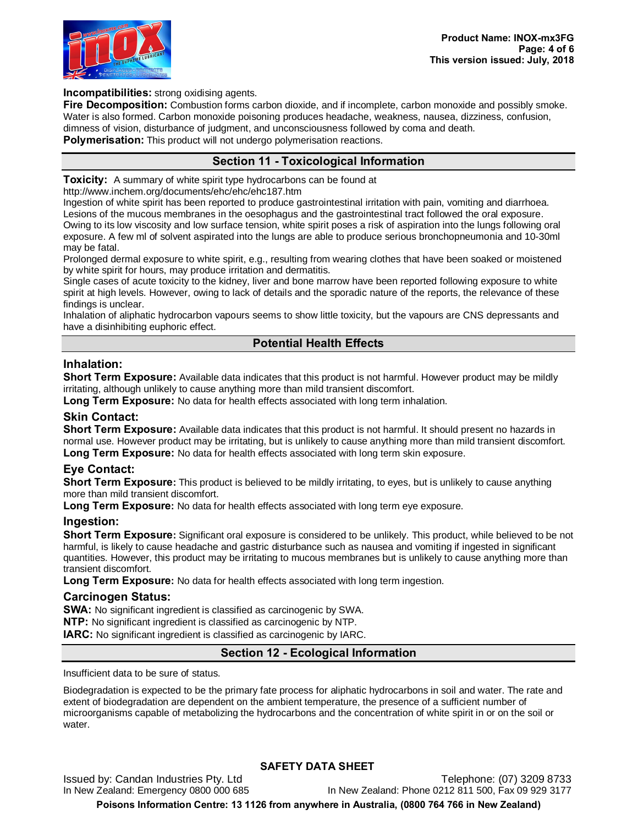

**Incompatibilities:** strong oxidising agents.

**Fire Decomposition:** Combustion forms carbon dioxide, and if incomplete, carbon monoxide and possibly smoke. Water is also formed. Carbon monoxide poisoning produces headache, weakness, nausea, dizziness, confusion, dimness of vision, disturbance of judgment, and unconsciousness followed by coma and death.

**Polymerisation:** This product will not undergo polymerisation reactions.

# **Section 11 - Toxicological Information**

**Toxicity:** A summary of white spirit type hydrocarbons can be found at

http://www.inchem.org/documents/ehc/ehc/ehc187.htm

Ingestion of white spirit has been reported to produce gastrointestinal irritation with pain, vomiting and diarrhoea. Lesions of the mucous membranes in the oesophagus and the gastrointestinal tract followed the oral exposure. Owing to its low viscosity and low surface tension, white spirit poses a risk of aspiration into the lungs following oral exposure. A few ml of solvent aspirated into the lungs are able to produce serious bronchopneumonia and 10-30ml may be fatal.

Prolonged dermal exposure to white spirit, e.g., resulting from wearing clothes that have been soaked or moistened by white spirit for hours, may produce irritation and dermatitis.

Single cases of acute toxicity to the kidney, liver and bone marrow have been reported following exposure to white spirit at high levels. However, owing to lack of details and the sporadic nature of the reports, the relevance of these findings is unclear.

Inhalation of aliphatic hydrocarbon vapours seems to show little toxicity, but the vapours are CNS depressants and have a disinhibiting euphoric effect.

# **Potential Health Effects**

# **Inhalation:**

**Short Term Exposure:** Available data indicates that this product is not harmful. However product may be mildly irritating, although unlikely to cause anything more than mild transient discomfort.

**Long Term Exposure:** No data for health effects associated with long term inhalation.

# **Skin Contact:**

**Short Term Exposure:** Available data indicates that this product is not harmful. It should present no hazards in normal use. However product may be irritating, but is unlikely to cause anything more than mild transient discomfort. **Long Term Exposure:** No data for health effects associated with long term skin exposure.

# **Eye Contact:**

**Short Term Exposure:** This product is believed to be mildly irritating, to eyes, but is unlikely to cause anything more than mild transient discomfort.

**Long Term Exposure:** No data for health effects associated with long term eye exposure.

#### **Ingestion:**

**Short Term Exposure:** Significant oral exposure is considered to be unlikely. This product, while believed to be not harmful, is likely to cause headache and gastric disturbance such as nausea and vomiting if ingested in significant quantities. However, this product may be irritating to mucous membranes but is unlikely to cause anything more than transient discomfort.

**Long Term Exposure:** No data for health effects associated with long term ingestion.

#### **Carcinogen Status:**

**SWA:** No significant ingredient is classified as carcinogenic by SWA.

**NTP:** No significant ingredient is classified as carcinogenic by NTP.

**IARC:** No significant ingredient is classified as carcinogenic by IARC.

# **Section 12 - Ecological Information**

Insufficient data to be sure of status.

Biodegradation is expected to be the primary fate process for aliphatic hydrocarbons in soil and water. The rate and extent of biodegradation are dependent on the ambient temperature, the presence of a sufficient number of microorganisms capable of metabolizing the hydrocarbons and the concentration of white spirit in or on the soil or water.

# **SAFETY DATA SHEET**

Issued by: Candan Industries Pty. Ltd<br>In New Zealand: Phone 0212 811 500, Fax 09 929 3177<br>In New Zealand: Phone 0212 811 500, Fax 09 929 3177 In New Zealand: Phone 0212 811 500, Fax 09 929 3177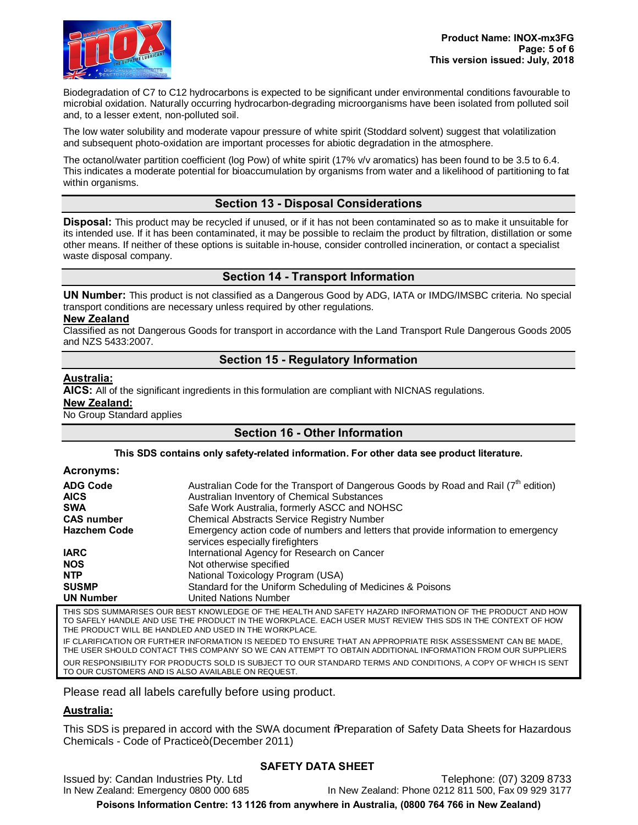

Biodegradation of C7 to C12 hydrocarbons is expected to be significant under environmental conditions favourable to microbial oxidation. Naturally occurring hydrocarbon-degrading microorganisms have been isolated from polluted soil and, to a lesser extent, non-polluted soil.

The low water solubility and moderate vapour pressure of white spirit (Stoddard solvent) suggest that volatilization and subsequent photo-oxidation are important processes for abiotic degradation in the atmosphere.

The octanol/water partition coefficient (log Pow) of white spirit (17% v/v aromatics) has been found to be 3.5 to 6.4. This indicates a moderate potential for bioaccumulation by organisms from water and a likelihood of partitioning to fat within organisms.

# **Section 13 - Disposal Considerations**

**Disposal:** This product may be recycled if unused, or if it has not been contaminated so as to make it unsuitable for its intended use. If it has been contaminated, it may be possible to reclaim the product by filtration, distillation or some other means. If neither of these options is suitable in-house, consider controlled incineration, or contact a specialist waste disposal company.

# **Section 14 - Transport Information**

**UN Number:** This product is not classified as a Dangerous Good by ADG, IATA or IMDG/IMSBC criteria. No special transport conditions are necessary unless required by other regulations.

#### **New Zealand**

Classified as not Dangerous Goods for transport in accordance with the Land Transport Rule Dangerous Goods 2005 and NZS 5433:2007.

# **Section 15 - Regulatory Information**

### **Australia:**

**AICS:** All of the significant ingredients in this formulation are compliant with NICNAS regulations.

**New Zealand:**

No Group Standard applies

# **Section 16 - Other Information**

#### **This SDS contains only safety-related information. For other data see product literature.**

#### **Acronyms:**

| <b>ADG Code</b><br><b>AICS</b> | Australian Code for the Transport of Dangerous Goods by Road and Rail (7 <sup>th</sup> edition)<br>Australian Inventory of Chemical Substances |
|--------------------------------|------------------------------------------------------------------------------------------------------------------------------------------------|
| <b>SWA</b>                     | Safe Work Australia, formerly ASCC and NOHSC                                                                                                   |
| <b>CAS number</b>              | <b>Chemical Abstracts Service Registry Number</b>                                                                                              |
| <b>Hazchem Code</b>            | Emergency action code of numbers and letters that provide information to emergency<br>services especially firefighters                         |
| <b>IARC</b>                    | International Agency for Research on Cancer                                                                                                    |
| <b>NOS</b>                     | Not otherwise specified                                                                                                                        |
| <b>NTP</b>                     | National Toxicology Program (USA)                                                                                                              |
| <b>SUSMP</b>                   | Standard for the Uniform Scheduling of Medicines & Poisons                                                                                     |
| <b>UN Number</b>               | <b>United Nations Number</b>                                                                                                                   |
|                                |                                                                                                                                                |

THIS SDS SUMMARISES OUR BEST KNOWLEDGE OF THE HEALTH AND SAFETY HAZARD INFORMATION OF THE PRODUCT AND HOW TO SAFELY HANDLE AND USE THE PRODUCT IN THE WORKPLACE. EACH USER MUST REVIEW THIS SDS IN THE CONTEXT OF HOW THE PRODUCT WILL BE HANDLED AND USED IN THE WORKPLACE.

IF CLARIFICATION OR FURTHER INFORMATION IS NEEDED TO ENSURE THAT AN APPROPRIATE RISK ASSESSMENT CAN BE MADE, THE USER SHOULD CONTACT THIS COMPANY SO WE CAN ATTEMPT TO OBTAIN ADDITIONAL INFORMATION FROM OUR SUPPLIERS OUR RESPONSIBILITY FOR PRODUCTS SOLD IS SUBJECT TO OUR STANDARD TERMS AND CONDITIONS, A COPY OF WHICH IS SENT TO OUR CUSTOMERS AND IS ALSO AVAILABLE ON REQUEST.

Please read all labels carefully before using product.

# **Australia:**

This SDS is prepared in accord with the SWA document % Reparation of Safety Data Sheets for Hazardous Chemicals - Code of Practice+ (December 2011)

Issued by: Candan Industries Pty. Ltd<br>In New Zealand: Phone 0212 811 500, Fax 09 929 3177<br>In New Zealand: Phone 0212 811 500, Fax 09 929 3177

#### **SAFETY DATA SHEET**

In New Zealand: Phone 0212 811 500, Fax 09 929 3177